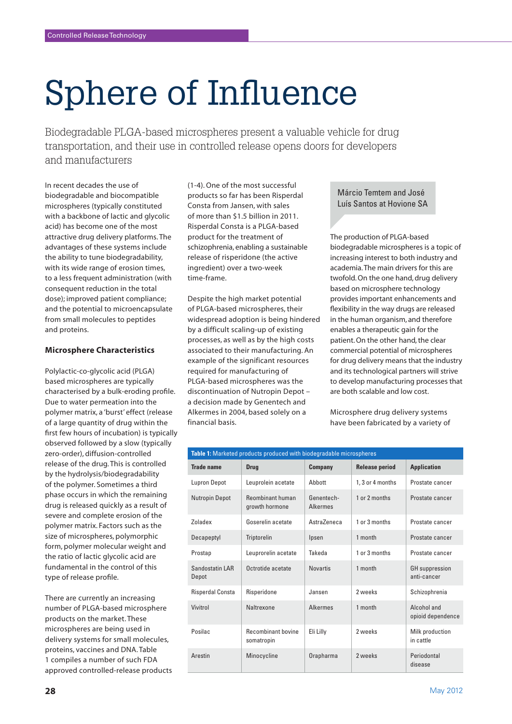# Sphere of Influence

Biodegradable PLGA-based microspheres present a valuable vehicle for drug transportation, and their use in controlled release opens doors for developers and manufacturers

In recent decades the use of biodegradable and biocompatible microspheres (typically constituted with a backbone of lactic and glycolic acid) has become one of the most attractive drug delivery platforms. The advantages of these systems include the ability to tune biodegradability, with its wide range of erosion times, to a less frequent administration (with consequent reduction in the total dose); improved patient compliance; and the potential to microencapsulate from small molecules to peptides and proteins.

## **Microsphere Characteristics**

Polylactic-co-glycolic acid (PLGA) based microspheres are typically characterised by a bulk-eroding profile. Due to water permeation into the polymer matrix, a 'burst' effect (release of a large quantity of drug within the first few hours of incubation) is typically observed followed by a slow (typically zero-order), diffusion-controlled release of the drug. This is controlled by the hydrolysis/biodegradability of the polymer. Sometimes a third phase occurs in which the remaining drug is released quickly as a result of severe and complete erosion of the polymer matrix. Factors such as the size of microspheres, polymorphic form, polymer molecular weight and the ratio of lactic glycolic acid are fundamental in the control of this type of release profile.

There are currently an increasing number of PLGA-based microsphere products on the market. These microspheres are being used in delivery systems for small molecules, proteins, vaccines and DNA. Table 1 compiles a number of such FDA approved controlled-release products

(1-4). One of the most successful products so far has been Risperdal Consta from Jansen, with sales of more than \$1.5 billion in 2011. Risperdal Consta is a PLGA-based product for the treatment of schizophrenia, enabling a sustainable release of risperidone (the active ingredient) over a two-week time-frame.

Despite the high market potential of PLGA-based microspheres, their widespread adoption is being hindered by a difficult scaling-up of existing processes, as well as by the high costs associated to their manufacturing. An example of the significant resources required for manufacturing of PLGA-based microspheres was the discontinuation of Nutropin Depot – a decision made by Genentech and Alkermes in 2004, based solely on a financial basis.

Márcio Temtem and José Luís Santos at Hovione SA

The production of PLGA-based biodegradable microspheres is a topic of increasing interest to both industry and academia. The main drivers for this are twofold. On the one hand, drug delivery based on microsphere technology provides important enhancements and flexibility in the way drugs are released in the human organism, and therefore enables a therapeutic gain for the patient. On the other hand, the clear commercial potential of microspheres for drug delivery means that the industry and its technological partners will strive to develop manufacturing processes that are both scalable and low cost.

Microsphere drug delivery systems have been fabricated by a variety of

| Table 1: Marketed products produced with biodegradable microspheres |                                           |                               |                       |                                      |
|---------------------------------------------------------------------|-------------------------------------------|-------------------------------|-----------------------|--------------------------------------|
| <b>Trade name</b>                                                   | <b>Drug</b>                               | <b>Company</b>                | <b>Release period</b> | <b>Application</b>                   |
| <b>Lupron Depot</b>                                                 | Leuprolein acetate                        | Abbott                        | 1, 3 or 4 months      | Prostate cancer                      |
| <b>Nutropin Depot</b>                                               | <b>Reombinant human</b><br>growth hormone | Genentech-<br><b>Alkermes</b> | 1 or 2 months         | Prostate cancer                      |
| Zoladex                                                             | Goserelin acetate                         | AstraZeneca                   | 1 or 3 months         | Prostate cancer                      |
| Decapeptyl                                                          | Triptorelin                               | Ipsen                         | 1 month               | Prostate cancer                      |
| Prostap                                                             | Leuprorelin acetate                       | Takeda                        | 1 or 3 months         | Prostate cancer                      |
| Sandostatin LAR<br>Depot                                            | Octrotide acetate                         | <b>Novartis</b>               | 1 month               | <b>GH</b> suppression<br>anti-cancer |
| <b>Risperdal Consta</b>                                             | Risperidone                               | Jansen                        | 2 weeks               | Schizophrenia                        |
| Vivitrol                                                            | Naltrexone                                | <b>Alkermes</b>               | 1 month               | Alcohol and<br>opioid dependence     |
| Posilac                                                             | <b>Recombinant bovine</b><br>somatropin   | Eli Lilly                     | 2 weeks               | Milk production<br>in cattle         |
| Arestin                                                             | Minocycline                               | Orapharma                     | 2 weeks               | Periodontal<br>disease               |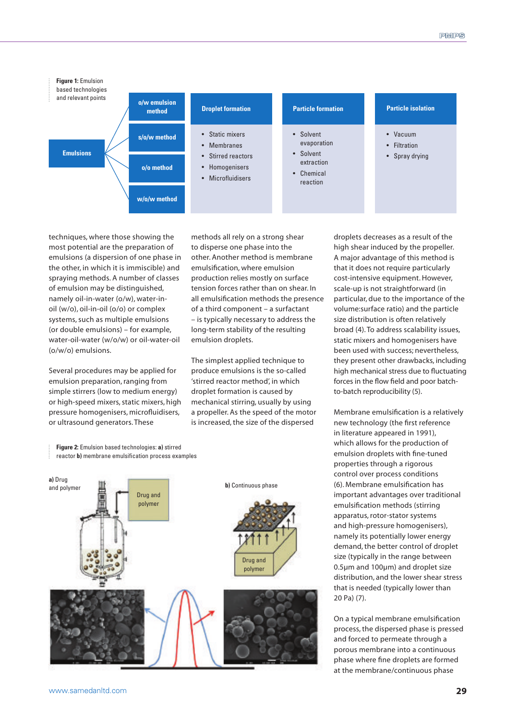

techniques, where those showing the most potential are the preparation of emulsions (a dispersion of one phase in the other, in which it is immiscible) and spraying methods. A number of classes of emulsion may be distinguished, namely oil-in-water (o/w), water-inoil (w/o), oil-in-oil (o/o) or complex systems, such as multiple emulsions (or double emulsions) – for example, water-oil-water (w/o/w) or oil-water-oil (o/w/o) emulsions.

Several procedures may be applied for emulsion preparation, ranging from simple stirrers (low to medium energy) or high-speed mixers, static mixers, high pressure homogenisers, microfluidisers, or ultrasound generators. These

**Figure 2:** Emulsion based technologies: **a)** stirred reactor **b)** membrane emulsification process examples

**a)** Drug and polymer

Drug and polymer

methods all rely on a strong shear to disperse one phase into the other. Another method is membrane emulsification, where emulsion production relies mostly on surface tension forces rather than on shear. In all emulsification methods the presence of a third component – a surfactant – is typically necessary to address the long-term stability of the resulting emulsion droplets.

The simplest applied technique to produce emulsions is the so-called 'stirred reactor method', in which droplet formation is caused by mechanical stirring, usually by using a propeller. As the speed of the motor is increased, the size of the dispersed

**b)** Continuous phase

Drug and polymer

droplets decreases as a result of the high shear induced by the propeller. A major advantage of this method is that it does not require particularly cost-intensive equipment. However, scale-up is not straightforward (in particular, due to the importance of the volume:surface ratio) and the particle size distribution is often relatively broad (4). To address scalability issues, static mixers and homogenisers have been used with success; nevertheless, they present other drawbacks, including high mechanical stress due to fluctuating forces in the flow field and poor batchto-batch reproducibility (5).

Membrane emulsification is a relatively new technology (the first reference in literature appeared in 1991), which allows for the production of emulsion droplets with fine-tuned properties through a rigorous control over process conditions (6). Membrane emulsification has important advantages over traditional emulsification methods (stirring apparatus, rotor-stator systems and high-pressure homogenisers), namely its potentially lower energy demand, the better control of droplet size (typically in the range between 0.5µm and 100µm) and droplet size distribution, and the lower shear stress that is needed (typically lower than 20 Pa) (7).

On a typical membrane emulsification process, the dispersed phase is pressed and forced to permeate through a porous membrane into a continuous phase where fine droplets are formed at the membrane/continuous phase

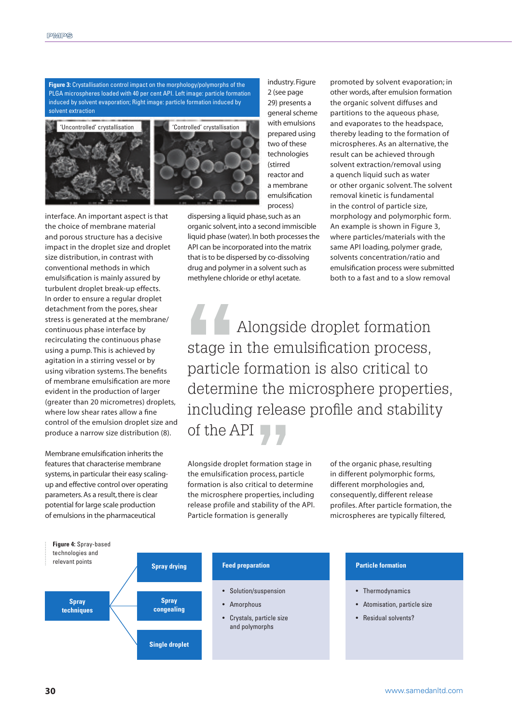**Figure 3:** Crystallisation control impact on the morphology/polymorphs of the PLGA microspheres loaded with 40 per cent API. Left image: particle formation induced by solvent evaporation; Right image: particle formation induced by solvent extraction



interface. An important aspect is that the choice of membrane material and porous structure has a decisive impact in the droplet size and droplet size distribution, in contrast with conventional methods in which emulsification is mainly assured by turbulent droplet break-up effects. In order to ensure a regular droplet detachment from the pores, shear stress is generated at the membrane/ continuous phase interface by recirculating the continuous phase using a pump. This is achieved by agitation in a stirring vessel or by using vibration systems. The benefits of membrane emulsification are more evident in the production of larger (greater than 20 micrometres) droplets, where low shear rates allow a fine control of the emulsion droplet size and produce a narrow size distribution (8).

Membrane emulsification inherits the features that characterise membrane systems, in particular their easy scalingup and effective control over operating parameters. As a result, there is clear potential for large scale production of emulsions in the pharmaceutical

industry. Figure 2 (see page 29) presents a general scheme with emulsions prepared using two of these technologies (stirred reactor and a membrane emulsification process)

dispersing a liquid phase, such as an organic solvent, into a second immiscible liquid phase (water). In both processes the API can be incorporated into the matrix that is to be dispersed by co-dissolving drug and polymer in a solvent such as methylene chloride or ethyl acetate.

promoted by solvent evaporation; in other words, after emulsion formation the organic solvent diffuses and partitions to the aqueous phase, and evaporates to the headspace, thereby leading to the formation of microspheres. As an alternative, the result can be achieved through solvent extraction/removal using a quench liquid such as water or other organic solvent. The solvent removal kinetic is fundamental in the control of particle size, morphology and polymorphic form. An example is shown in Figure 3, where particles/materials with the same API loading, polymer grade, solvents concentration/ratio and emulsification process were submitted both to a fast and to a slow removal

Alongside droplet formation stage in the emulsification process, particle formation is also critical to determine the microsphere properties, including release profile and stability of the API

Alongside droplet formation stage in the emulsification process, particle formation is also critical to determine the microsphere properties, including release profile and stability of the API. Particle formation is generally

of the organic phase, resulting in different polymorphic forms, different morphologies and, consequently, different release profiles. After particle formation, the microspheres are typically filtered,